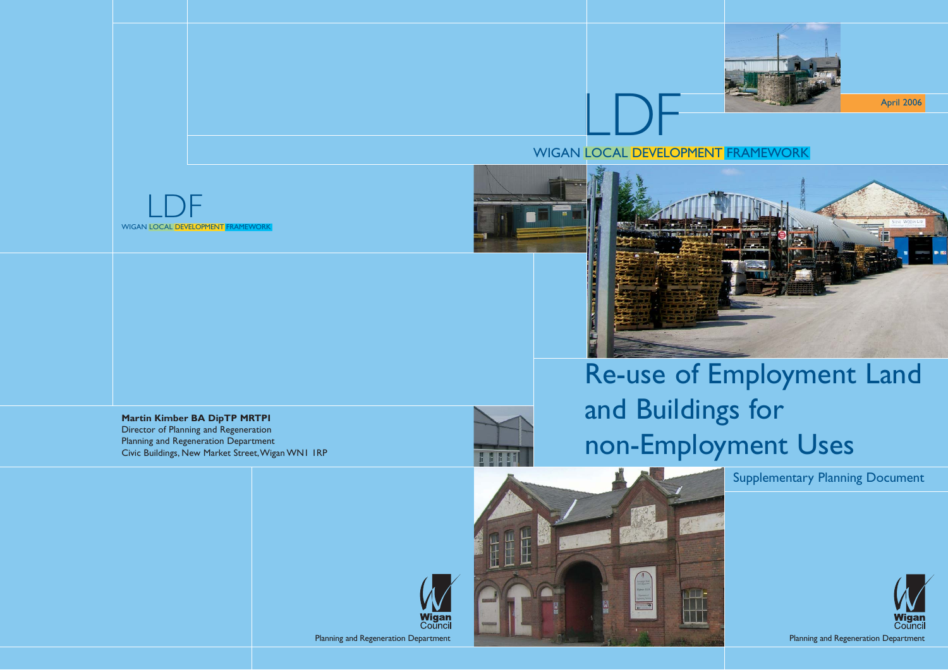April 2006

Supplementary Planning Document









**Martin Kimber BA DipTP MRTPI** Director of Planning and Regeneration Planning and Regeneration Department Civic Buildings, New Market Street,Wigan WN1 1RP





# LDF WIGAN LOCAL DEVELOPMENT FRAMEWORK



# Re-use of Employment Land and Buildings for non-Employment Uses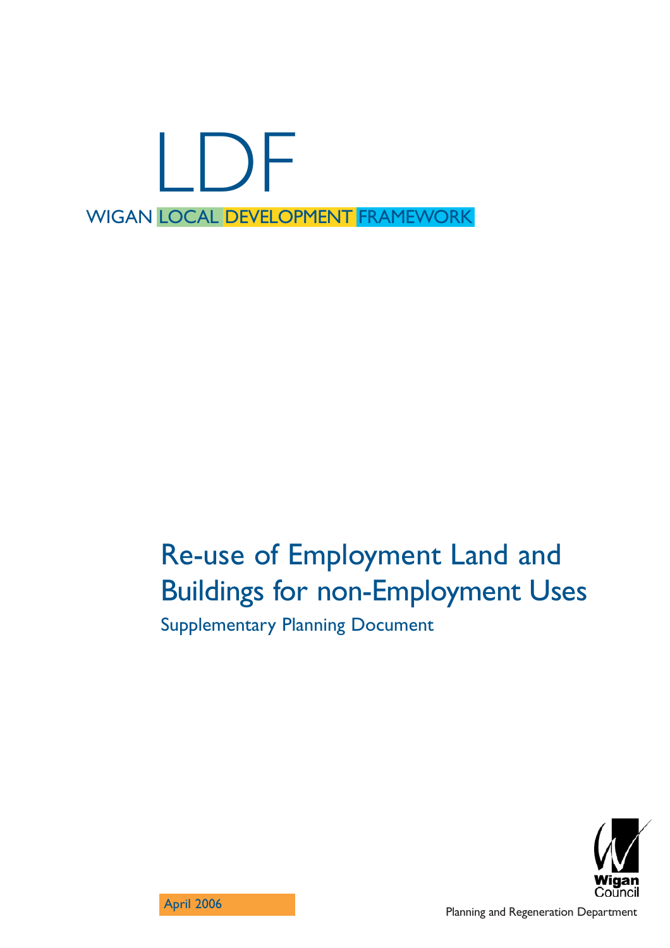LDF WIGAN LOCAL DEVELOPMENT FRAMEWORK

# Re-use of Employment Land and Buildings for non-Employment Uses

Supplementary Planning Document



April 2006

Planning and Regeneration Department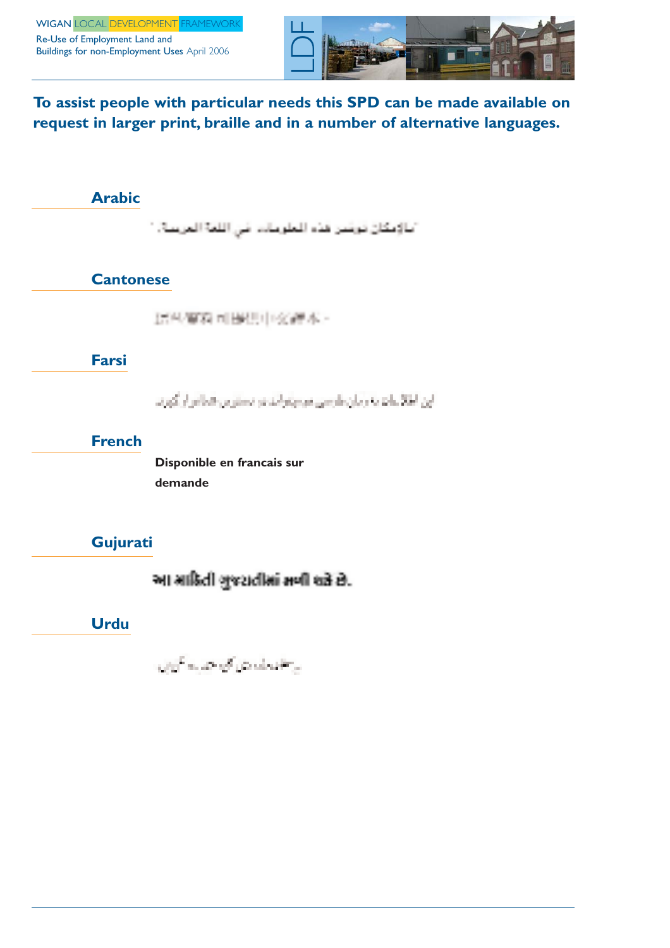

**To assist people with particular needs this SPD can be made available on request in larger print, braille and in a number of alternative languages.**

| <b>Arabic</b>    |                                                                |
|------------------|----------------------------------------------------------------|
|                  | "مالإمكان توشير قذه الملومات في اللغة العربية. "               |
| <b>Cantonese</b> |                                                                |
|                  | 15岁强烈可提供中文辉本。                                                  |
| <b>Farsi</b>     |                                                                |
|                  | این افکار بات به ریان بارسی میربوداند در دستوس شما بو از گورد. |
| <b>French</b>    |                                                                |
|                  | Disponible en francais sur<br>demande                          |
|                  |                                                                |
| Gujurati         |                                                                |
|                  | આ સાહિતી ગુજરાતીમાં મળી થકે છે.                                |
| <b>Urdu</b>      |                                                                |
|                  | سرستان والمساريح والمحارب والمتوافق                            |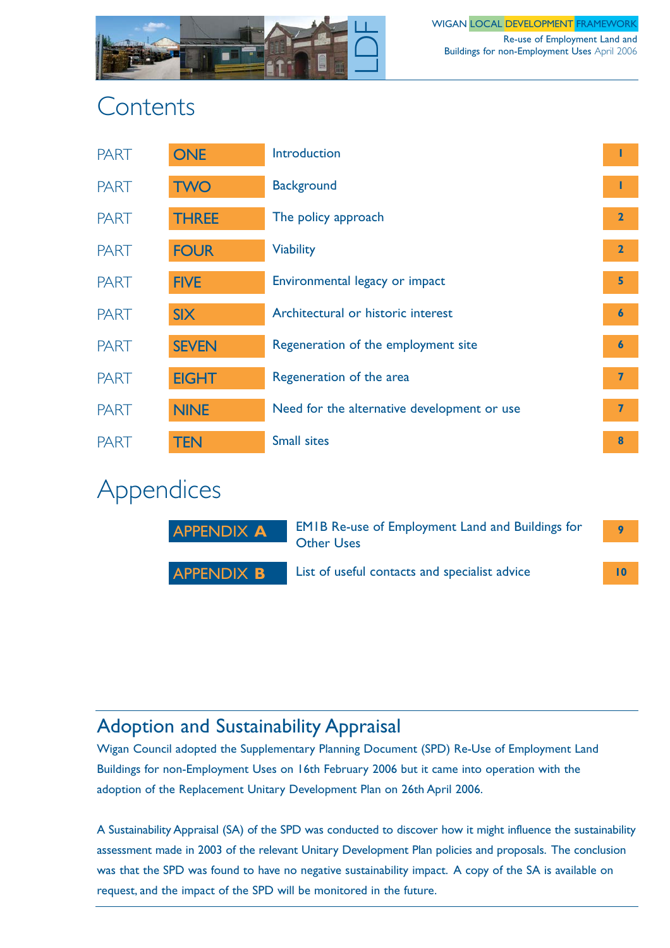

WIGAN LOCAL DEVELOPMENT FRAMEWORK Re-use of Employment Land and Buildings for non-Employment Uses April 2006

## **Contents**

| <b>PART</b> | <b>ONE</b>   | Introduction                                |                  |
|-------------|--------------|---------------------------------------------|------------------|
| <b>PART</b> | <b>TWO</b>   | <b>Background</b>                           |                  |
| <b>PART</b> | <b>THREE</b> | The policy approach                         | $\mathbf{2}$     |
| <b>PART</b> | <b>FOUR</b>  | <b>Viability</b>                            | $\overline{2}$   |
| <b>PART</b> | <b>FIVE</b>  | Environmental legacy or impact              | 5                |
| <b>PART</b> | <b>SIX</b>   | Architectural or historic interest          | $\boldsymbol{6}$ |
| <b>PART</b> | <b>SEVEN</b> | Regeneration of the employment site         | $\boldsymbol{6}$ |
| <b>PART</b> | <b>EIGHT</b> | Regeneration of the area                    | $\overline{7}$   |
| <b>PART</b> | <b>NINE</b>  | Need for the alternative development or use | $\overline{7}$   |
| <b>PART</b> | <b>TEN</b>   | <b>Small sites</b>                          | $\bf{8}$         |
|             | pendices     |                                             |                  |

| <b>APPENDIX A</b> | <b>EMIB Re-use of Employment Land and Buildings for</b><br><b>Other Uses</b> | $\bullet$ |
|-------------------|------------------------------------------------------------------------------|-----------|
|                   |                                                                              |           |
| <b>APPENDIX B</b> | List of useful contacts and specialist advice                                | 10        |

#### Adoption and Sustainability Appraisal

Wigan Council adopted the Supplementary Planning Document (SPD) Re-Use of Employment Land Buildings for non-Employment Uses on 16th February 2006 but it came into operation with the adoption of the Replacement Unitary Development Plan on 26th April 2006.

A Sustainability Appraisal (SA) of the SPD was conducted to discover how it might influence the sustainability assessment made in 2003 of the relevant Unitary Development Plan policies and proposals. The conclusion was that the SPD was found to have no negative sustainability impact. A copy of the SA is available on request, and the impact of the SPD will be monitored in the future.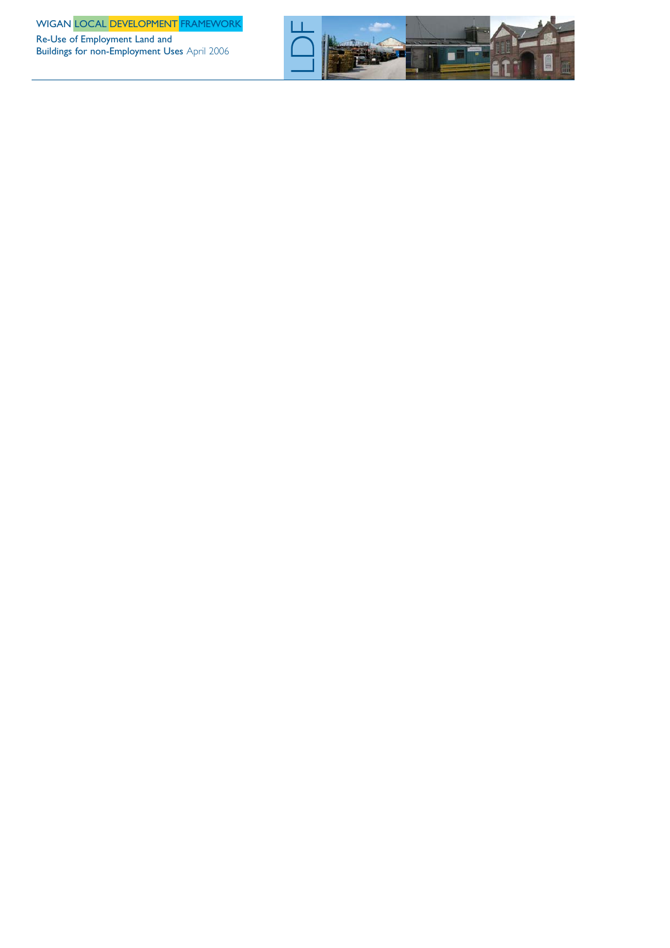#### WIGAN LOCAL DEVELOPMENT FRAMEWORK

Re-Use of Employment Land and Buildings for non-Employment Uses April 2006

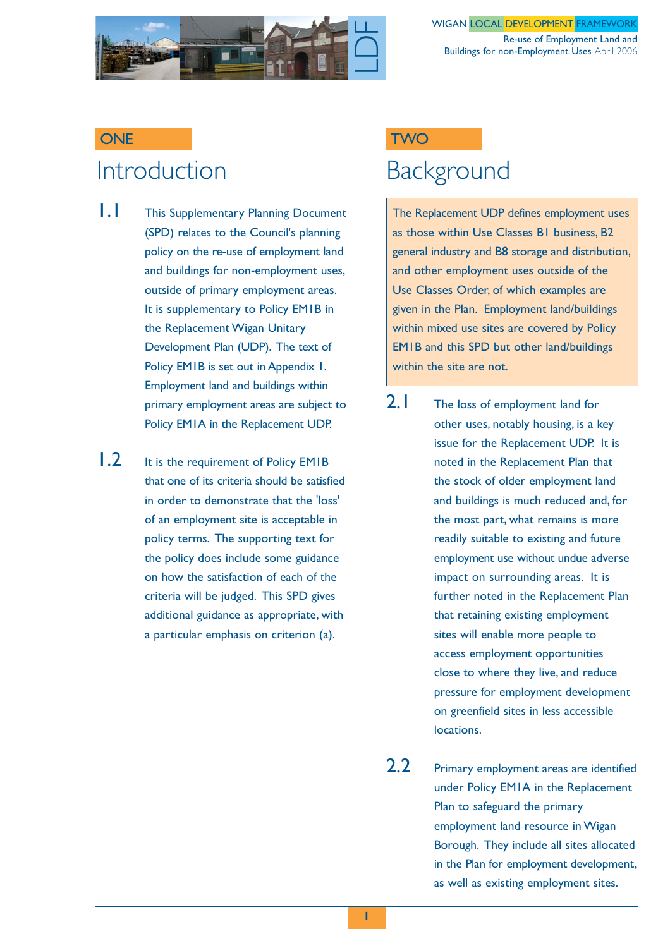

# Introduction

- 1.1 This Supplementary Planning Document (SPD) relates to the Council's planning policy on the re-use of employment land and buildings for non-employment uses, outside of primary employment areas. It is supplementary to Policy EM1B in the Replacement Wigan Unitary Development Plan (UDP). The text of Policy EM1B is set out in Appendix 1. Employment land and buildings within primary employment areas are subject to Policy EM1A in the Replacement UDP.
- 1.2 It is the requirement of Policy EM1B that one of its criteria should be satisfied in order to demonstrate that the 'loss' of an employment site is acceptable in policy terms. The supporting text for the policy does include some guidance on how the satisfaction of each of the criteria will be judged. This SPD gives additional guidance as appropriate, with a particular emphasis on criterion (a).

#### ONE TWO

# Background

The Replacement UDP defines employment uses as those within Use Classes B1 business, B2 general industry and B8 storage and distribution, and other employment uses outside of the Use Classes Order, of which examples are given in the Plan. Employment land/buildings within mixed use sites are covered by Policy EM1B and this SPD but other land/buildings within the site are not.

2. The loss of employment land for other uses, notably housing, is a key issue for the Replacement UDP. It is noted in the Replacement Plan that the stock of older employment land and buildings is much reduced and, for the most part, what remains is more readily suitable to existing and future employment use without undue adverse impact on surrounding areas. It is further noted in the Replacement Plan that retaining existing employment sites will enable more people to access employment opportunities close to where they live, and reduce pressure for employment development on greenfield sites in less accessible locations.

2.2 Primary employment areas are identified under Policy EM1A in the Replacement Plan to safeguard the primary employment land resource in Wigan Borough. They include all sites allocated in the Plan for employment development, as well as existing employment sites.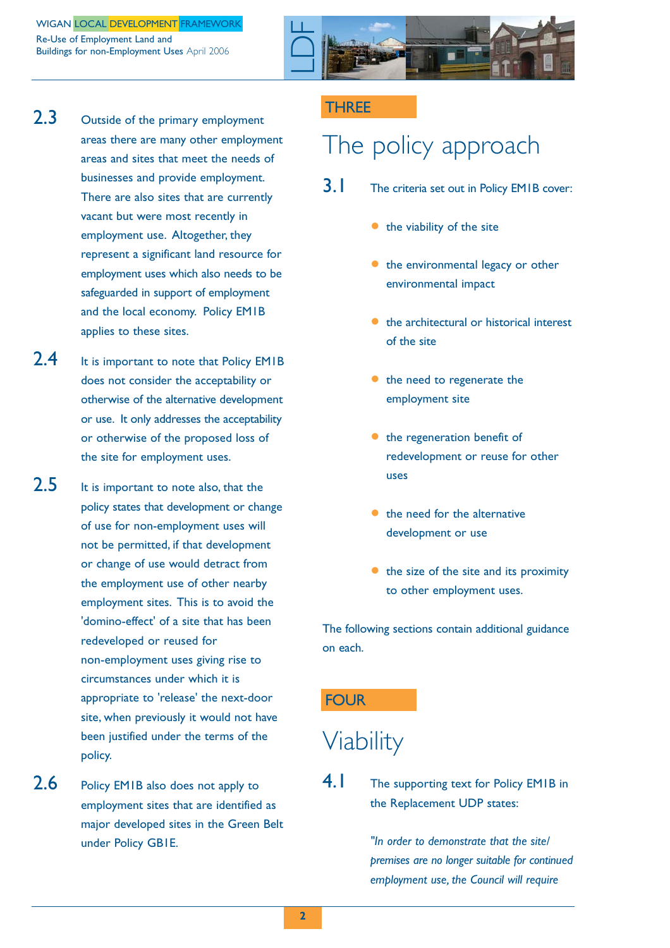

- 2.3 Outside of the primary employment areas there are many other employment areas and sites that meet the needs of businesses and provide employment. There are also sites that are currently vacant but were most recently in employment use. Altogether, they represent a significant land resource for employment uses which also needs to be safeguarded in support of employment and the local economy. Policy EM1B applies to these sites.
- 2.4 It is important to note that Policy EM1B does not consider the acceptability or otherwise of the alternative development or use. It only addresses the acceptability or otherwise of the proposed loss of the site for employment uses.
- 2.5 It is important to note also, that the policy states that development or change of use for non-employment uses will not be permitted, if that development or change of use would detract from the employment use of other nearby employment sites. This is to avoid the 'domino-effect' of a site that has been redeveloped or reused for non-employment uses giving rise to circumstances under which it is appropriate to 'release' the next-door site, when previously it would not have been justified under the terms of the policy.
- $2.6$  Policy EM1B also does not apply to employment sites that are identified as major developed sites in the Green Belt under Policy GB1E.

#### **THREE**

# The policy approach

- 3.1 The criteria set out in Policy EM1B cover:
	- the viability of the site
	- the environmental legacy or other environmental impact
	- the architectural or historical interest of the site
	- the need to regenerate the employment site
	- $\bullet$  the regeneration benefit of redevelopment or reuse for other uses
	- the need for the alternative development or use
	- the size of the site and its proximity to other employment uses.

The following sections contain additional guidance on each.

#### FOUR

# Viability

4. The supporting text for Policy EM1B in the Replacement UDP states:

> *"In order to demonstrate that the site/ premises are no longer suitable for continued employment use, the Council will require*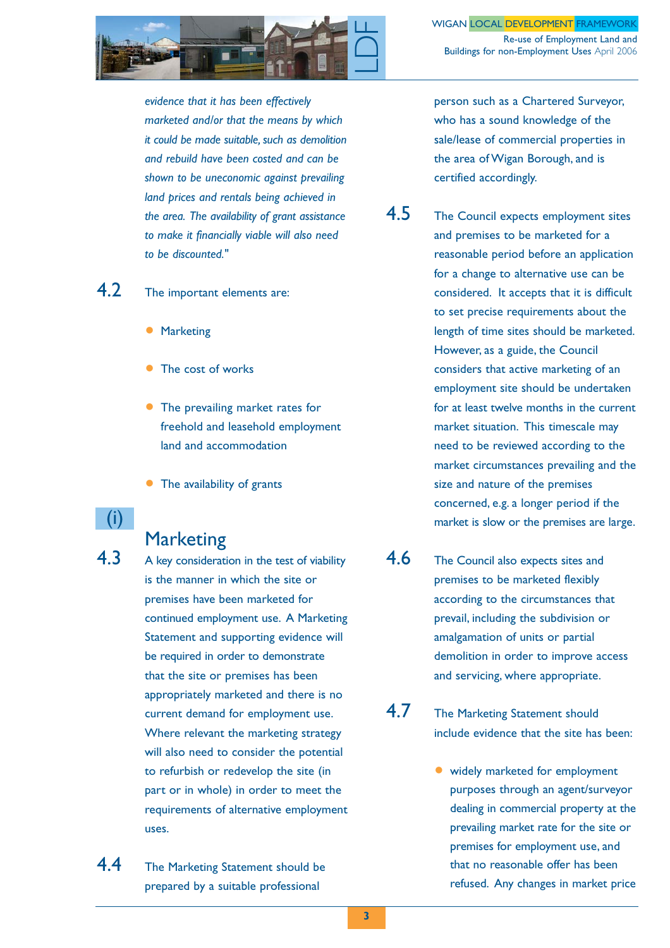

*evidence that it has been effectively marketed and/or that the means by which it could be made suitable, such as demolition and rebuild have been costed and can be shown to be uneconomic against prevailing land prices and rentals being achieved in the area. The availability of grant assistance to make it financially viable will also need to be discounted."* 

- 4.2 The important elements are:
	- **Marketing**
	- The cost of works
	- The prevailing market rates for freehold and leasehold employment land and accommodation
	- The availability of grants
- (i)

#### **Marketing**

- 4.3 A key consideration in the test of viability is the manner in which the site or premises have been marketed for continued employment use. A Marketing Statement and supporting evidence will be required in order to demonstrate that the site or premises has been appropriately marketed and there is no current demand for employment use. Where relevant the marketing strategy will also need to consider the potential to refurbish or redevelop the site (in part or in whole) in order to meet the requirements of alternative employment uses.
- 4.4 The Marketing Statement should be prepared by a suitable professional

person such as a Chartered Surveyor, who has a sound knowledge of the sale/lease of commercial properties in the area of Wigan Borough, and is certified accordingly.

4.5 The Council expects employment sites and premises to be marketed for a reasonable period before an application for a change to alternative use can be considered. It accepts that it is difficult to set precise requirements about the length of time sites should be marketed. However, as a guide, the Council considers that active marketing of an employment site should be undertaken for at least twelve months in the current market situation. This timescale may need to be reviewed according to the market circumstances prevailing and the size and nature of the premises concerned, e.g. a longer period if the market is slow or the premises are large.

- **4.6** The Council also expects sites and premises to be marketed flexibly according to the circumstances that prevail, including the subdivision or amalgamation of units or partial demolition in order to improve access and servicing, where appropriate.
- **4.7** The Marketing Statement should include evidence that the site has been:
	- widely marketed for employment purposes through an agent/surveyor dealing in commercial property at the prevailing market rate for the site or premises for employment use, and that no reasonable offer has been refused. Any changes in market price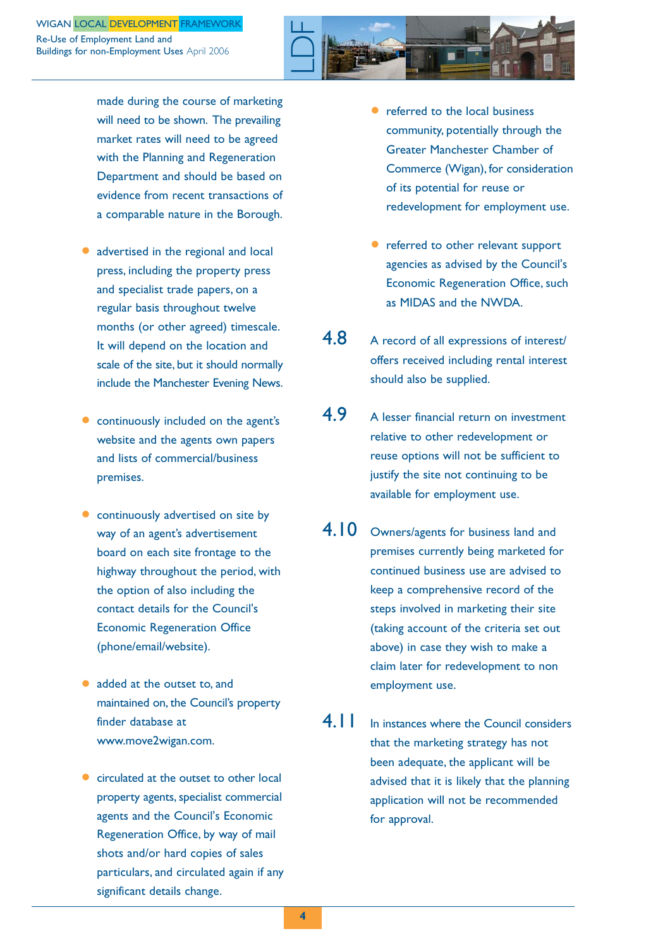

made during the course of marketing will need to be shown. The prevailing market rates will need to be agreed with the Planning and Regeneration Department and should be based on evidence from recent transactions of a comparable nature in the Borough.

- advertised in the regional and local press, including the property press and specialist trade papers, on a regular basis throughout twelve months (or other agreed) timescale. It will depend on the location and scale of the site, but it should normally include the Manchester Evening News.
- continuously included on the agent's website and the agents own papers and lists of commercial/business premises.
- continuously advertised on site by way of an agent's advertisement board on each site frontage to the highway throughout the period, with the option of also including the contact details for the Council's Economic Regeneration Office (phone/email/website).
- added at the outset to, and maintained on, the Council's property finder database at www.move2wigan.com.
- circulated at the outset to other local property agents, specialist commercial agents and the Council's Economic Regeneration Office, by way of mail shots and/or hard copies of sales particulars, and circulated again if any significant details change.
- referred to the local business community, potentially through the Greater Manchester Chamber of Commerce (Wigan), for consideration of its potential for reuse or redevelopment for employment use.
- referred to other relevant support agencies as advised by the Council's Economic Regeneration Office, such as MIDAS and the NWDA.
- **4.8** A record of all expressions of interest/ offers received including rental interest should also be supplied.
- 4.9 A lesser financial return on investment relative to other redevelopment or reuse options will not be sufficient to justify the site not continuing to be available for employment use.
- 4.10 Owners/agents for business land and premises currently being marketed for continued business use are advised to keep a comprehensive record of the steps involved in marketing their site (taking account of the criteria set out above) in case they wish to make a claim later for redevelopment to non employment use.
- 4.  $\vert \vert$  In instances where the Council considers that the marketing strategy has not been adequate, the applicant will be advised that it is likely that the planning application will not be recommended for approval.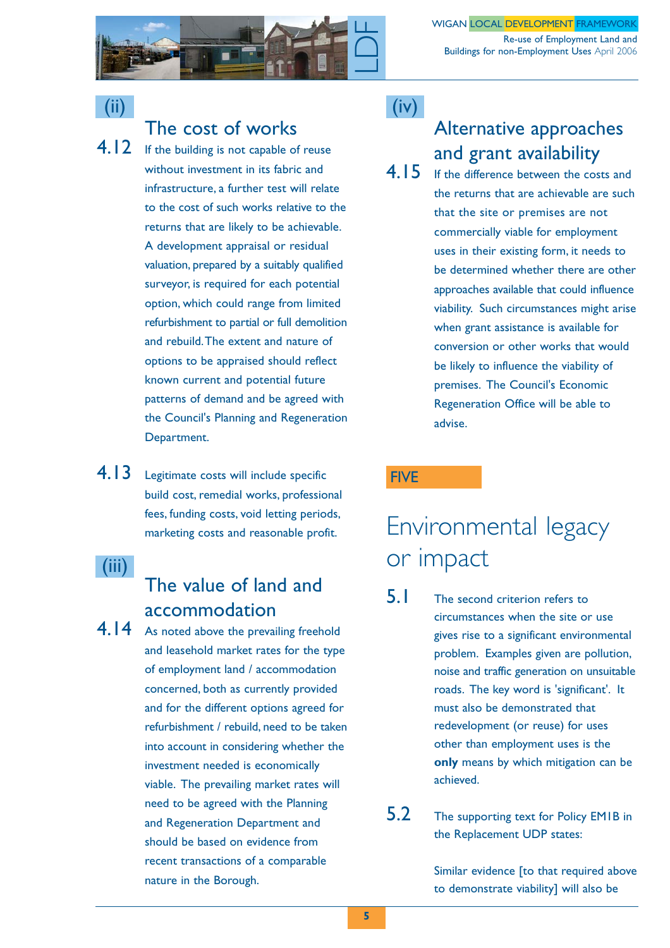WIGAN LOCAL DEVELOPMENT FRAMEWORK Re-use of Employment Land and Buildings for non-Employment Uses April 2006



### The cost of works

- 4.12 If the building is not capable of reuse without investment in its fabric and infrastructure, a further test will relate to the cost of such works relative to the returns that are likely to be achievable. A development appraisal or residual valuation, prepared by a suitably qualified surveyor, is required for each potential option, which could range from limited refurbishment to partial or full demolition and rebuild.The extent and nature of options to be appraised should reflect known current and potential future patterns of demand and be agreed with the Council's Planning and Regeneration Department.
- 4.13 Legitimate costs will include specific build cost, remedial works, professional fees, funding costs, void letting periods, marketing costs and reasonable profit.

(iii)

#### The value of land and accommodation

4.14 As noted above the prevailing freehold and leasehold market rates for the type of employment land / accommodation concerned, both as currently provided and for the different options agreed for refurbishment / rebuild, need to be taken into account in considering whether the investment needed is economically viable. The prevailing market rates will need to be agreed with the Planning and Regeneration Department and should be based on evidence from recent transactions of a comparable nature in the Borough.

(ii) (iv)

### Alternative approaches and grant availability

4.15 If the difference between the costs and the returns that are achievable are such that the site or premises are not commercially viable for employment uses in their existing form, it needs to be determined whether there are other approaches available that could influence viability. Such circumstances might arise when grant assistance is available for conversion or other works that would be likely to influence the viability of premises. The Council's Economic Regeneration Office will be able to advise.

**FIVF** 

# Environmental legacy or impact

- 5.1 The second criterion refers to circumstances when the site or use gives rise to a significant environmental problem. Examples given are pollution, noise and traffic generation on unsuitable roads. The key word is 'significant'. It must also be demonstrated that redevelopment (or reuse) for uses other than employment uses is the **only** means by which mitigation can be achieved.
- 5.2 The supporting text for Policy EM1B in the Replacement UDP states:

Similar evidence [to that required above to demonstrate viability] will also be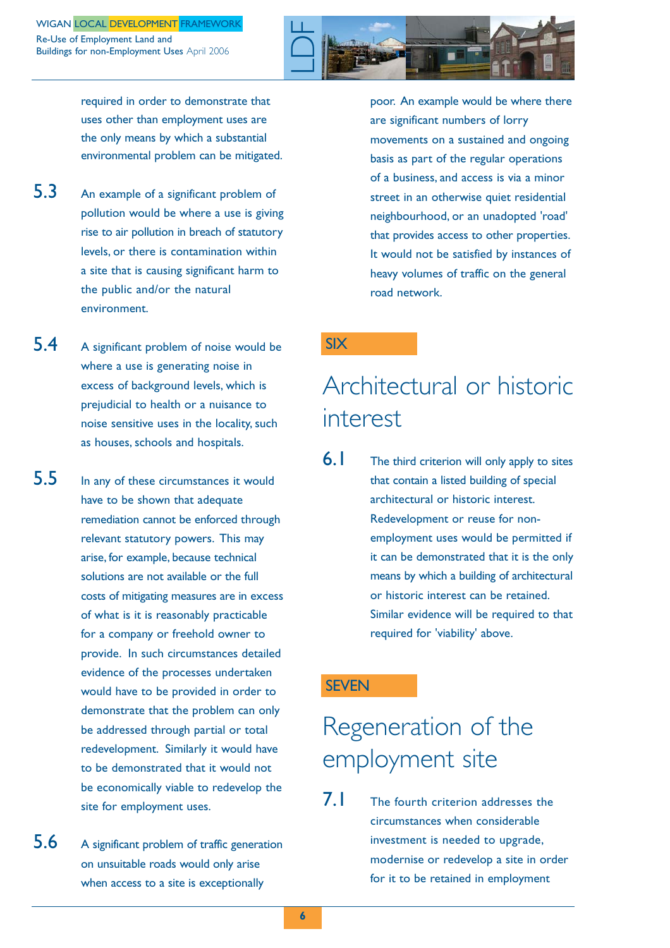

required in order to demonstrate that uses other than employment uses are the only means by which a substantial environmental problem can be mitigated.

- 5.3 An example of a significant problem of pollution would be where a use is giving rise to air pollution in breach of statutory levels, or there is contamination within a site that is causing significant harm to the public and/or the natural environment.
- 5.4 A significant problem of noise would be where a use is generating noise in excess of background levels, which is prejudicial to health or a nuisance to noise sensitive uses in the locality, such as houses, schools and hospitals.
- $5.5$  In any of these circumstances it would have to be shown that adequate remediation cannot be enforced through relevant statutory powers. This may arise, for example, because technical solutions are not available or the full costs of mitigating measures are in excess of what is it is reasonably practicable for a company or freehold owner to provide. In such circumstances detailed evidence of the processes undertaken would have to be provided in order to demonstrate that the problem can only be addressed through partial or total redevelopment. Similarly it would have to be demonstrated that it would not be economically viable to redevelop the site for employment uses.
- 5.6 A significant problem of traffic generation on unsuitable roads would only arise when access to a site is exceptionally

poor. An example would be where there are significant numbers of lorry movements on a sustained and ongoing basis as part of the regular operations of a business, and access is via a minor street in an otherwise quiet residential neighbourhood, or an unadopted 'road' that provides access to other properties. It would not be satisfied by instances of heavy volumes of traffic on the general road network.

SIX

# Architectural or historic interest

6. The third criterion will only apply to sites that contain a listed building of special architectural or historic interest. Redevelopment or reuse for nonemployment uses would be permitted if it can be demonstrated that it is the only means by which a building of architectural or historic interest can be retained. Similar evidence will be required to that required for 'viability' above.

#### **SEVEN**

# Regeneration of the employment site

7.1 The fourth criterion addresses the circumstances when considerable investment is needed to upgrade, modernise or redevelop a site in order for it to be retained in employment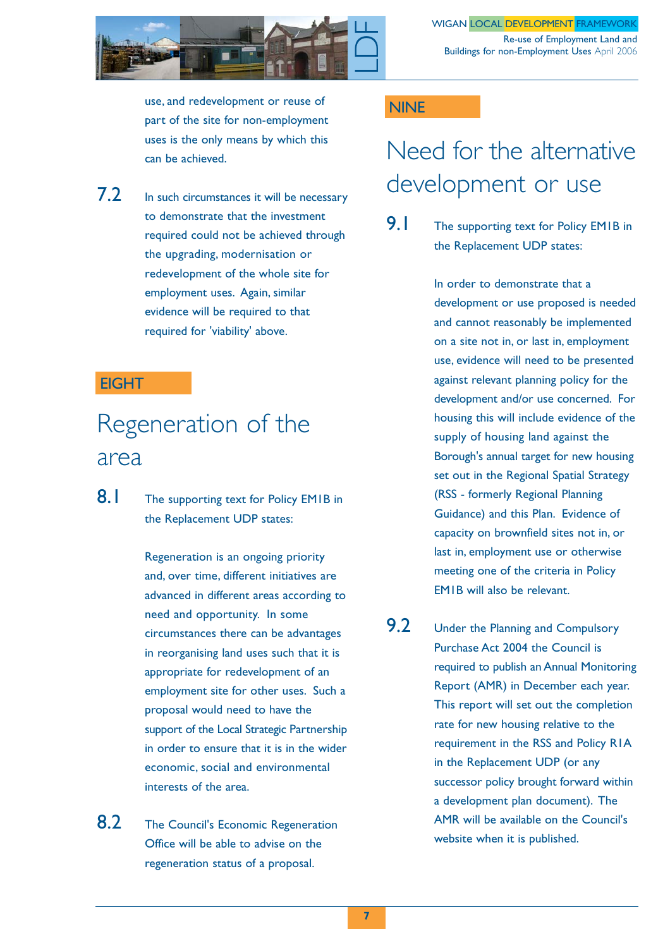

WIGAN LOCAL DEVELOPMENT FRAMEWORK Re-use of Employment Land and Buildings for non-Employment Uses April 2006

use, and redevelopment or reuse of part of the site for non-employment uses is the only means by which this can be achieved.

7.2 In such circumstances it will be necessary to demonstrate that the investment required could not be achieved through the upgrading, modernisation or redevelopment of the whole site for employment uses. Again, similar evidence will be required to that required for 'viability' above.

#### **EIGHT**

# Regeneration of the area

8.1 The supporting text for Policy EM1B in the Replacement UDP states:

> Regeneration is an ongoing priority and, over time, different initiatives are advanced in different areas according to need and opportunity. In some circumstances there can be advantages in reorganising land uses such that it is appropriate for redevelopment of an employment site for other uses. Such a proposal would need to have the support of the Local Strategic Partnership in order to ensure that it is in the wider economic, social and environmental interests of the area.

8.2 The Council's Economic Regeneration Office will be able to advise on the regeneration status of a proposal.

#### NINE

# Need for the alternative development or use

9.1 The supporting text for Policy EM1B in the Replacement UDP states:

> In order to demonstrate that a development or use proposed is needed and cannot reasonably be implemented on a site not in, or last in, employment use, evidence will need to be presented against relevant planning policy for the development and/or use concerned. For housing this will include evidence of the supply of housing land against the Borough's annual target for new housing set out in the Regional Spatial Strategy (RSS - formerly Regional Planning Guidance) and this Plan. Evidence of capacity on brownfield sites not in, or last in, employment use or otherwise meeting one of the criteria in Policy EM1B will also be relevant.

9.2 Under the Planning and Compulsory Purchase Act 2004 the Council is required to publish an Annual Monitoring Report (AMR) in December each year. This report will set out the completion rate for new housing relative to the requirement in the RSS and Policy R1A in the Replacement UDP (or any successor policy brought forward within a development plan document). The AMR will be available on the Council's website when it is published.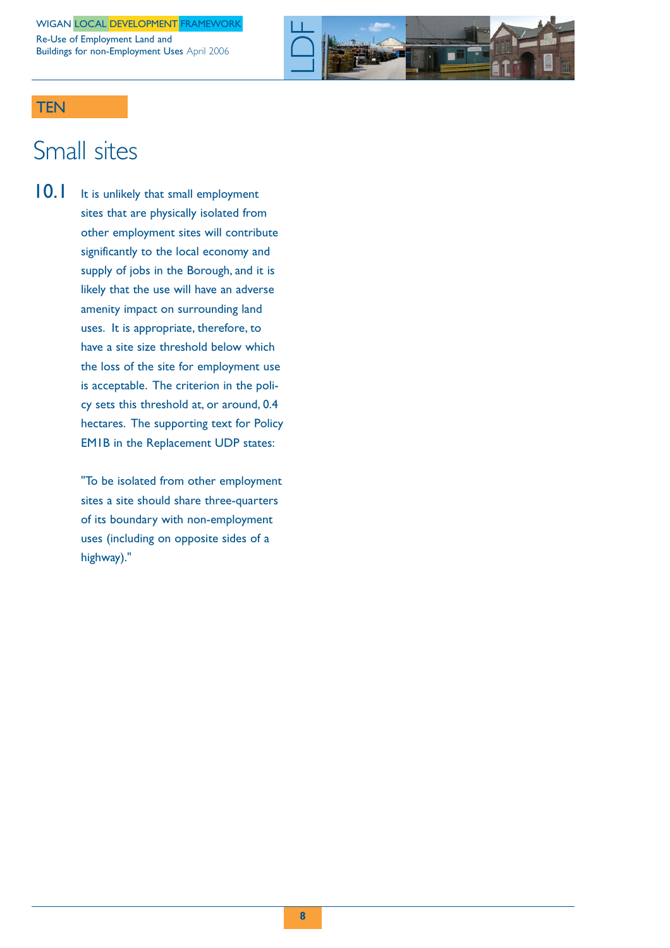WIGAN LOCAL DEVELOPMENT FRAMEWORK Re-Use of Employment Land and Buildings for non-Employment Uses April 2006



#### **TEN**

## Small sites

10.1 It is unlikely that small employment sites that are physically isolated from other employment sites will contribute significantly to the local economy and supply of jobs in the Borough, and it is likely that the use will have an adverse amenity impact on surrounding land uses. It is appropriate, therefore, to have a site size threshold below which the loss of the site for employment use is acceptable. The criterion in the policy sets this threshold at, or around, 0.4 hectares. The supporting text for Policy EM1B in the Replacement UDP states:

> "To be isolated from other employment sites a site should share three-quarters of its boundary with non-employment uses (including on opposite sides of a highway)."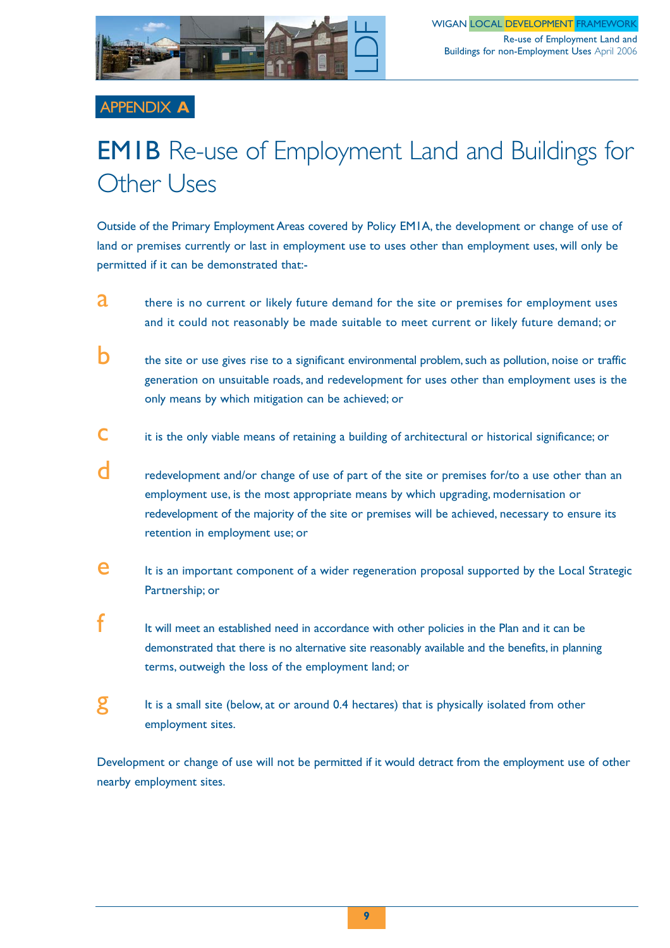

#### APPENDIX **A**

# **EM1B** Re-use of Employment Land and Buildings for Other Uses

Outside of the Primary Employment Areas covered by Policy EM1A, the development or change of use of land or premises currently or last in employment use to uses other than employment uses, will only be permitted if it can be demonstrated that:-

- $a$  there is no current or likely future demand for the site or premises for employment uses and it could not reasonably be made suitable to meet current or likely future demand; or
- $\mathbf b$  the site or use gives rise to a significant environmental problem, such as pollution, noise or traffic generation on unsuitable roads, and redevelopment for uses other than employment uses is the only means by which mitigation can be achieved; or
- $\mathsf{\textbf{C}}$  it is the only viable means of retaining a building of architectural or historical significance; or
- d redevelopment and/or change of use of part of the site or premises for/to a use other than an employment use, is the most appropriate means by which upgrading, modernisation or redevelopment of the majority of the site or premises will be achieved, necessary to ensure its retention in employment use; or **9** Pop Pose to and itable<br>
9 Pose to and itable<br>
9 Pose to and itable<br>
9 Pose The Present language of the regre<br>
19 Pose Vite regre<br>
19 Pose Vite regre<br>
19 Pose Vite regre<br>
19 Pose Vite regre<br>
19 Pose Vite it is nect<br>
19
- $e$  It is an important component of a wider regeneration proposal supported by the Local Strategic Partnership; or
- f It will meet an established need in accordance with other policies in the Plan and it can be demonstrated that there is no alternative site reasonably available and the benefits, in planning terms, outweigh the loss of the employment land; or
- g It is a small site (below, at or around 0.4 hectares) that is physically isolated from other employment sites.

Development or change of use will not be permitted if it would detract from the employment use of other nearby employment sites.